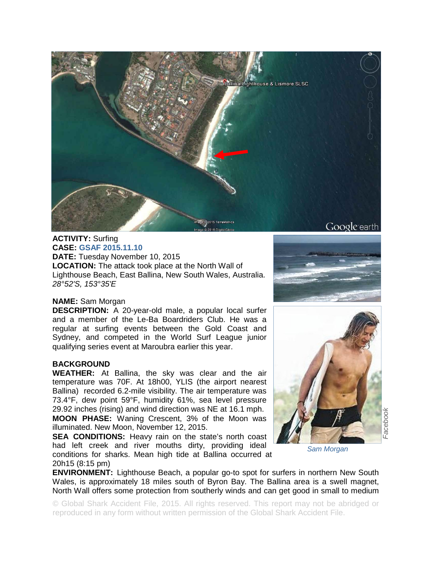

**ACTIVITY:** Surfing **CASE: GSAF 2015.11.10 DATE:** Tuesday November 10, 2015 **LOCATION:** The attack took place at the North Wall of Lighthouse Beach, East Ballina, New South Wales, Australia. *28°52'S, 153°35'E* 

## **NAME:** Sam Morgan

**DESCRIPTION:** A 20-year-old male, a popular local surfer and a member of the Le-Ba Boardriders Club. He was a regular at surfing events between the Gold Coast and Sydney, and competed in the World Surf League junior qualifying series event at Maroubra earlier this year.

## **BACKGROUND**

**WEATHER:** At Ballina, the sky was clear and the air temperature was 70F. At 18h00, YLIS (the airport nearest Ballina) recorded 6.2-mile visibility. The air temperature was 73.4°F, dew point 59°F, humidity 61%, sea level pressure 29.92 inches (rising) and wind direction was NE at 16.1 mph.

**MOON PHASE:** Waning Crescent, 3% of the Moon was illuminated. New Moon, November 12, 2015.

**SEA CONDITIONS:** Heavy rain on the state's north coast had left creek and river mouths dirty, providing ideal conditions for sharks. Mean high tide at Ballina occurred at 20h15 (8:15 pm)





*Sam Morgan* 

**ENVIRONMENT:** Lighthouse Beach, a popular go-to spot for surfers in northern New South Wales, is approximately 18 miles south of Byron Bay. The Ballina area is a swell magnet, North Wall offers some protection from southerly winds and can get good in small to medium

© Global Shark Accident File, 2015. All rights reserved. This report may not be abridged or reproduced in any form without written permission of the Global Shark Accident File.